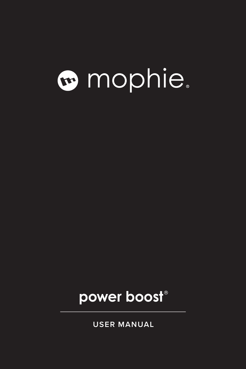# mophie.

### **power boost®**

**USER MANUAL**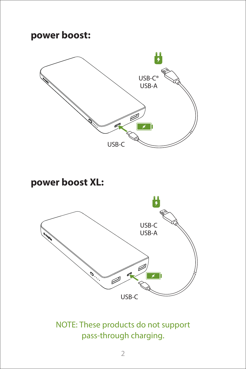#### **power boost:**



**power boost XL:**



NOTE: These products do not support pass-through charging.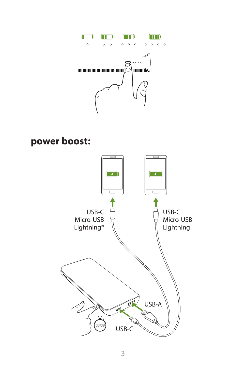

#### **power boost:**

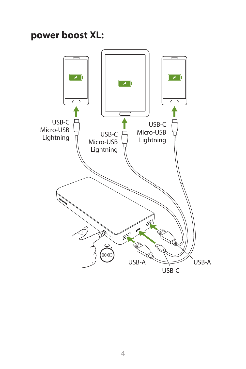#### **power boost XL:**

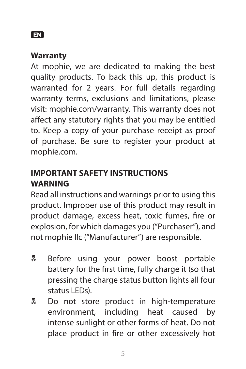#### **EN**

#### **Warranty**

At mophie, we are dedicated to making the best quality products. To back this up, this product is warranted for 2 years. For full details regarding warranty terms, exclusions and limitations, please visit: mophie.com/warranty. This warranty does not affect any statutory rights that you may be entitled to. Keep a copy of your purchase receipt as proof of purchase. Be sure to register your product at mophie.com.

#### **IMPORTANT SAFETY INSTRUCTIONS WARNING**

Read all instructions and warnings prior to using this product. Improper use of this product may result in product damage, excess heat, toxic fumes, fire or explosion, for which damages you ("Purchaser"), and not mophie llc ("Manufacturer") are responsible.

- **E** Before using your power boost portable battery for the first time, fully charge it (so that pressing the charge status button lights all four status LEDs).
- **E** Do not store product in high-temperature environment, including heat caused by intense sunlight or other forms of heat. Do not place product in fire or other excessively hot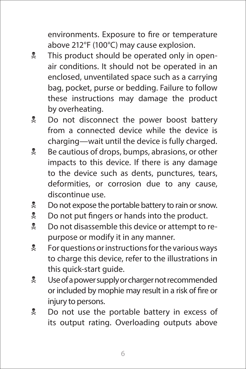environments. Exposure to fire or temperature above 212°F (100°C) may cause explosion.

- **X** This product should be operated only in openair conditions. It should not be operated in an enclosed, unventilated space such as a carrying bag, pocket, purse or bedding. Failure to follow these instructions may damage the product by overheating.
- **Do not disconnect the power boost battery** from a connected device while the device is charging—wait until the device is fully charged.
- **EX** Be cautious of drops, bumps, abrasions, or other impacts to this device. If there is any damage to the device such as dents, punctures, tears, deformities, or corrosion due to any cause, discontinue use.
- **No not expose the portable battery to rain or snow.**
- **Do not put fingers or hands into the product.**
- **D** not disassemble this device or attempt to repurpose or modify it in any manner.
- $\stackrel{\bullet}{\mathcal{R}}$  For questions or instructions for the various ways to charge this device, refer to the illustrations in this quick-start guide.
- **We Use of a power supply or charger not recommended** or included by mophie may result in a risk of fire or injury to persons.
- **Do not use the portable battery in excess of** its output rating. Overloading outputs above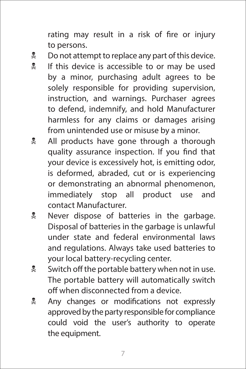rating may result in a risk of fire or injury to persons.

- $\stackrel{\bullet}{\bullet}$  Do not attempt to replace any part of this device.
- **If this device is accessible to or may be used** by a minor, purchasing adult agrees to be solely responsible for providing supervision, instruction, and warnings. Purchaser agrees to defend, indemnify, and hold Manufacturer harmless for any claims or damages arising from unintended use or misuse by a minor.
- **All products have gone through a thorough** quality assurance inspection. If you find that your device is excessively hot, is emitting odor, is deformed, abraded, cut or is experiencing or demonstrating an abnormal phenomenon, immediately stop all product use and contact Manufacturer.
- **EXECUTE:** Never dispose of batteries in the garbage. Disposal of batteries in the garbage is unlawful under state and federal environmental laws and regulations. Always take used batteries to your local battery-recycling center.
- **W** Switch off the portable battery when not in use. The portable battery will automatically switch off when disconnected from a device.
- **Any changes or modifications not expressly** approved by the party responsible for compliance could void the user's authority to operate the equipment.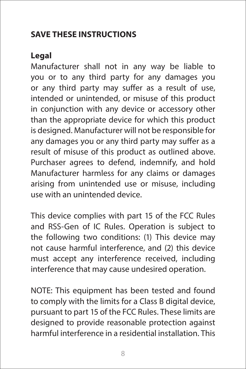#### **SAVE THESE INSTRUCTIONS**

#### **Legal**

Manufacturer shall not in any way be liable to you or to any third party for any damages you or any third party may suffer as a result of use, intended or unintended, or misuse of this product in conjunction with any device or accessory other than the appropriate device for which this product is designed. Manufacturer will not be responsible for any damages you or any third party may suffer as a result of misuse of this product as outlined above. Purchaser agrees to defend, indemnify, and hold Manufacturer harmless for any claims or damages arising from unintended use or misuse, including use with an unintended device.

This device complies with part 15 of the FCC Rules and RSS-Gen of IC Rules. Operation is subject to the following two conditions: (1) This device may not cause harmful interference, and (2) this device must accept any interference received, including interference that may cause undesired operation.

NOTE: This equipment has been tested and found to comply with the limits for a Class B digital device, pursuant to part 15 of the FCC Rules. These limits are designed to provide reasonable protection against harmful interference in a residential installation. This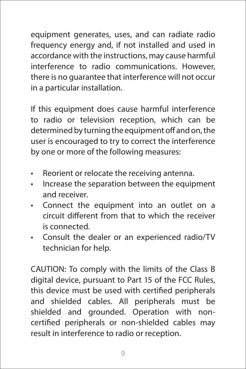equipment generates, uses, and can radiate radio frequency energy and, if not installed and used in accordance with the instructions, may cause harmful interference to radio communications. However, there is no guarantee that interference will not occur in a particular installation.

If this equipment does cause harmful interference to radio or television reception, which can be determined by turning the equipment off and on, the user is encouraged to try to correct the interference by one or more of the following measures:

- Reorient or relocate the receiving antenna.
- Increase the separation between the equipment and receiver.
- Connect the equipment into an outlet on a circuit different from that to which the receiver is connected.
- Consult the dealer or an experienced radio/TV technician for help.

CAUTION: To comply with the limits of the Class B digital device, pursuant to Part 15 of the FCC Rules, this device must be used with certified peripherals and shielded cables. All peripherals must be shielded and grounded. Operation with noncertified peripherals or non-shielded cables may result in interference to radio or reception.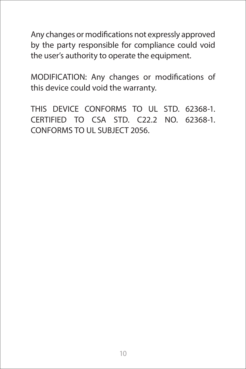Any changes or modifications not expressly approved by the party responsible for compliance could void the user's authority to operate the equipment.

MODIFICATION: Any changes or modifications of this device could void the warranty.

THIS DEVICE CONFORMS TO UL STD. 62368-1. CERTIFIED TO CSA STD. C22.2 NO. 62368-1. CONFORMS TO UL SUBJECT 2056.